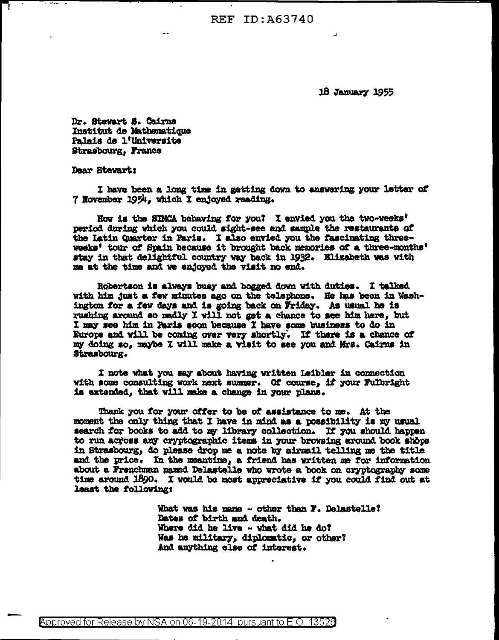**REF ID: A63740** 

18 January 1955

Dr. Stevart S. Cairns Institut de Mathematique Palais de l'Universite Strasbourg. France

Dear Stevart:

I have been a long time in getting down to answering your letter of 7 November 1954, which I enjoyed reading.

How is the SIMCA behaving for you? I envied you the two-weeks' period during which you could sight-see and sample the restaurants of the Latin Quarter in Paris. I also envied you the fascinating threeweeks' tour of Spain because it brought back memories of a three-months' stay in that delightful country way back in 1932. Elizabeth was with me at the time and we enjoyed the visit no end.

Robertson is always busy and bogged down with duties. I talked with him just a few minutes ago on the telephone. He has been in Washington for a few days and is going back on Wriday. As usual he is rushing around so madly I will not get a chance to see him here, but I may see him in Paris soon because I have some business to do in Europe and will be coming over very shortly. If there is a chance of my doing so. maybe I will make a visit to see you and Mrs. Cairns in Strasbourg.

I note what you say about having written Leibler in connection with some consulting work next summer. Of course, if your Fulbright is extended, that will make a change in your plans.

Thank you for your offer to be of assistance to me. At the moment the only thing that I have in mind as a possibility is my usual search for books to add to my library collection. If you should happen to run across any cryptographic items in your browsing around book shops in Strasbourg, do please drop me a note by airmail telling me the title and the price. In the meantime, a friend has written me for information about a Frenchman named Delastelle who wrote a book on cryptography some time around 1890. I would be most appreciative if you could find out at least the following:

> What was his name - other than F. Delastelle? Dates of birth and death. Where did he live - what did he do? Was he military, diplomatic, or other? And anything else of interest.

**Approved for Release by NSA on 06-19-2014 pursuant to E.O. 13526**